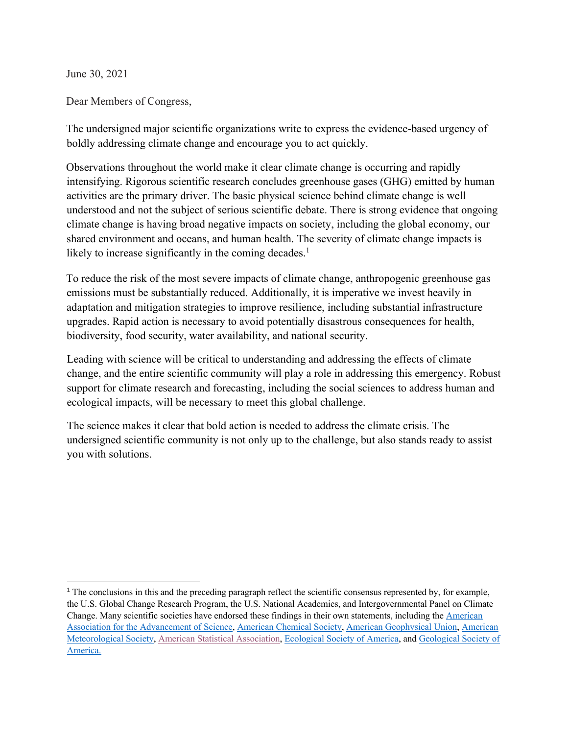June 30, 2021

Dear Members of Congress,

The undersigned major scientific organizations write to express the evidence-based urgency of boldly addressing climate change and encourage you to act quickly.

Observations throughout the world make it clear climate change is occurring and rapidly intensifying. Rigorous scientific research concludes greenhouse gases (GHG) emitted by human activities are the primary driver. The basic physical science behind climate change is well understood and not the subject of serious scientific debate. There is strong evidence that ongoing climate change is having broad negative impacts on society, including the global economy, our shared environment and oceans, and human health. The severity of climate change impacts is likely to increase significantly in the coming decades. $<sup>1</sup>$ </sup>

To reduce the risk of the most severe impacts of climate change, anthropogenic greenhouse gas emissions must be substantially reduced. Additionally, it is imperative we invest heavily in adaptation and mitigation strategies to improve resilience, including substantial infrastructure upgrades. Rapid action is necessary to avoid potentially disastrous consequences for health, biodiversity, food security, water availability, and national security.

Leading with science will be critical to understanding and addressing the effects of climate change, and the entire scientific community will play a role in addressing this emergency. Robust support for climate research and forecasting, including the social sciences to address human and ecological impacts, will be necessary to meet this global challenge.

The science makes it clear that bold action is needed to address the climate crisis. The undersigned scientific community is not only up to the challenge, but also stands ready to assist you with solutions.

<sup>&</sup>lt;sup>1</sup> The conclusions in this and the preceding paragraph reflect the scientific consensus represented by, for example, the U.S. Global Change Research Program, the U.S. National Academies, and Intergovernmental Panel on Climate Change. Many scientific societies have endorsed these findings in their own statements, including the American Association for the Advancement of Science, American Chemical Society, American Geophysical Union, American Meteorological Society, American Statistical Association, Ecological Society of America, and Geological Society of America.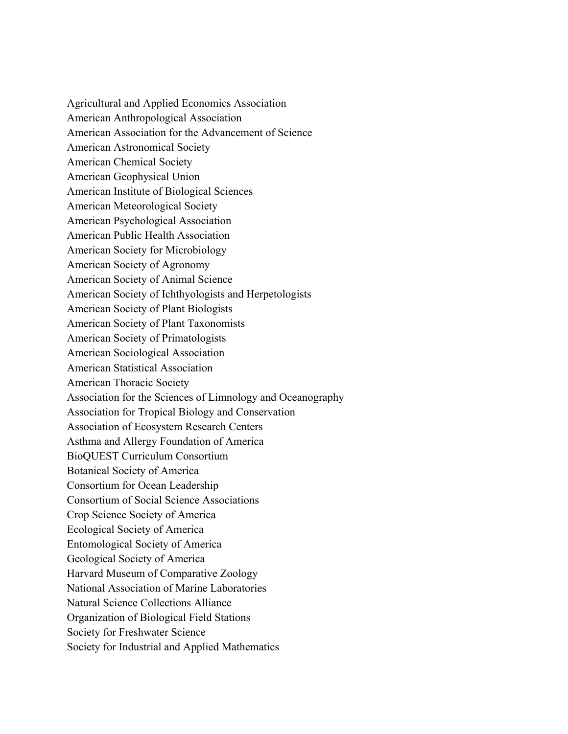Agricultural and Applied Economics Association American Anthropological Association American Association for the Advancement of Science American Astronomical Society American Chemical Society American Geophysical Union American Institute of Biological Sciences American Meteorological Society American Psychological Association American Public Health Association American Society for Microbiology American Society of Agronomy American Society of Animal Science American Society of Ichthyologists and Herpetologists American Society of Plant Biologists American Society of Plant Taxonomists American Society of Primatologists American Sociological Association American Statistical Association American Thoracic Society Association for the Sciences of Limnology and Oceanography Association for Tropical Biology and Conservation Association of Ecosystem Research Centers Asthma and Allergy Foundation of America BioQUEST Curriculum Consortium Botanical Society of America Consortium for Ocean Leadership Consortium of Social Science Associations Crop Science Society of America Ecological Society of America Entomological Society of America Geological Society of America Harvard Museum of Comparative Zoology National Association of Marine Laboratories Natural Science Collections Alliance Organization of Biological Field Stations Society for Freshwater Science Society for Industrial and Applied Mathematics